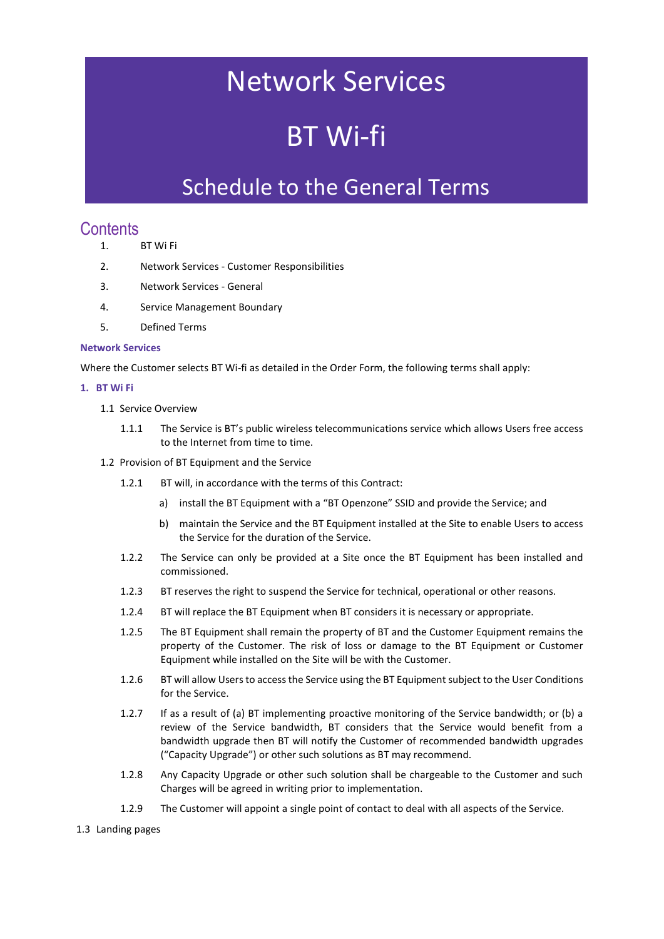# Network Services

# BT Wi-fi

### Schedule to the General Terms

### **Contents**

- 1. BT Wi Fi
- 2. Network Services Customer Responsibilities
- 3. Network Services General
- 4. Service Management Boundary
- 5. Defined Terms

#### **Network Services**

Where the Customer selects BT Wi-fi as detailed in the Order Form, the following terms shall apply:

#### **1. BT Wi Fi**

- 1.1 Service Overview
	- 1.1.1 The Service is BT's public wireless telecommunications service which allows Users free access to the Internet from time to time.
- 1.2 Provision of BT Equipment and the Service
	- 1.2.1 BT will, in accordance with the terms of this Contract:
		- a) install the BT Equipment with a "BT Openzone" SSID and provide the Service; and
		- b) maintain the Service and the BT Equipment installed at the Site to enable Users to access the Service for the duration of the Service.
	- 1.2.2 The Service can only be provided at a Site once the BT Equipment has been installed and commissioned.
	- 1.2.3 BT reserves the right to suspend the Service for technical, operational or other reasons.
	- 1.2.4 BT will replace the BT Equipment when BT considers it is necessary or appropriate.
	- 1.2.5 The BT Equipment shall remain the property of BT and the Customer Equipment remains the property of the Customer. The risk of loss or damage to the BT Equipment or Customer Equipment while installed on the Site will be with the Customer.
	- 1.2.6 BT will allow Users to access the Service using the BT Equipment subject to the User Conditions for the Service.
	- 1.2.7 If as a result of (a) BT implementing proactive monitoring of the Service bandwidth; or (b) a review of the Service bandwidth, BT considers that the Service would benefit from a bandwidth upgrade then BT will notify the Customer of recommended bandwidth upgrades ("Capacity Upgrade") or other such solutions as BT may recommend.
	- 1.2.8 Any Capacity Upgrade or other such solution shall be chargeable to the Customer and such Charges will be agreed in writing prior to implementation.
	- 1.2.9 The Customer will appoint a single point of contact to deal with all aspects of the Service.
- 1.3 Landing pages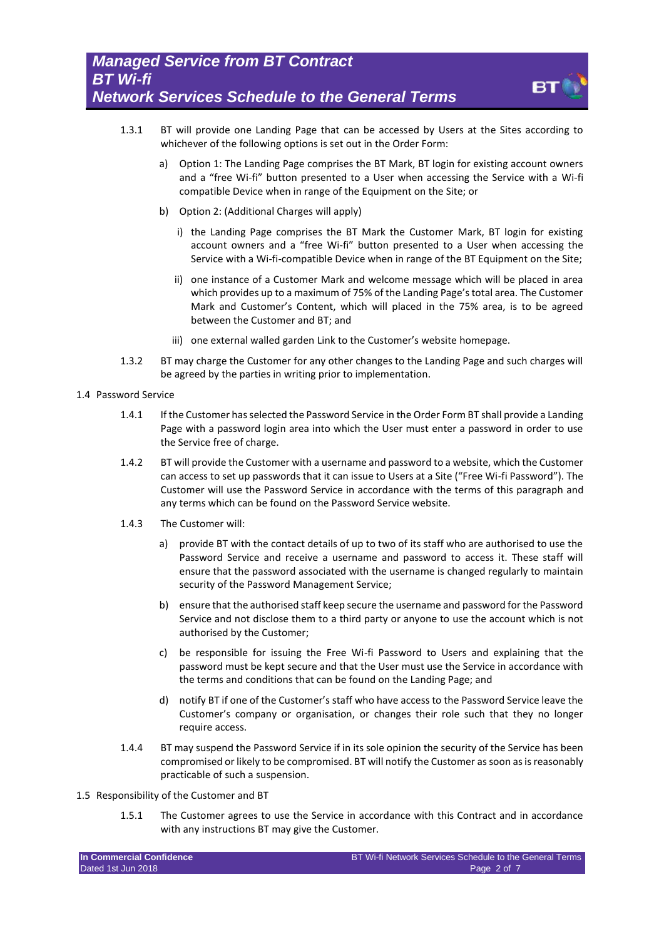

- 1.3.1 BT will provide one Landing Page that can be accessed by Users at the Sites according to whichever of the following options is set out in the Order Form:
	- a) Option 1: The Landing Page comprises the BT Mark, BT login for existing account owners and a "free Wi-fi" button presented to a User when accessing the Service with a Wi-fi compatible Device when in range of the Equipment on the Site; or
	- b) Option 2: (Additional Charges will apply)
		- i) the Landing Page comprises the BT Mark the Customer Mark, BT login for existing account owners and a "free Wi-fi" button presented to a User when accessing the Service with a Wi-fi-compatible Device when in range of the BT Equipment on the Site;
		- ii) one instance of a Customer Mark and welcome message which will be placed in area which provides up to a maximum of 75% of the Landing Page's total area. The Customer Mark and Customer's Content, which will placed in the 75% area, is to be agreed between the Customer and BT; and
		- iii) one external walled garden Link to the Customer's website homepage.
- 1.3.2 BT may charge the Customer for any other changes to the Landing Page and such charges will be agreed by the parties in writing prior to implementation.
- <span id="page-1-0"></span>1.4 Password Service
	- 1.4.1 If the Customer has selected the Password Service in the Order Form BT shall provide a Landing Page with a password login area into which the User must enter a password in order to use the Service free of charge.
	- 1.4.2 BT will provide the Customer with a username and password to a website, which the Customer can access to set up passwords that it can issue to Users at a Site ("Free Wi-fi Password"). The Customer will use the Password Service in accordance with the terms of this paragraph and any terms which can be found on the Password Service website.
	- 1.4.3 The Customer will:
		- a) provide BT with the contact details of up to two of its staff who are authorised to use the Password Service and receive a username and password to access it. These staff will ensure that the password associated with the username is changed regularly to maintain security of the Password Management Service;
		- b) ensure that the authorised staff keep secure the username and password for the Password Service and not disclose them to a third party or anyone to use the account which is not authorised by the Customer;
		- c) be responsible for issuing the Free Wi-fi Password to Users and explaining that the password must be kept secure and that the User must use the Service in accordance with the terms and conditions that can be found on the Landing Page; and
		- d) notify BT if one of the Customer's staff who have access to the Password Service leave the Customer's company or organisation, or changes their role such that they no longer require access.
	- 1.4.4 BT may suspend the Password Service if in its sole opinion the security of the Service has been compromised or likely to be compromised. BT will notify the Customer as soon as is reasonably practicable of such a suspension.
- 1.5 Responsibility of the Customer and BT
	- 1.5.1 The Customer agrees to use the Service in accordance with this Contract and in accordance with any instructions BT may give the Customer.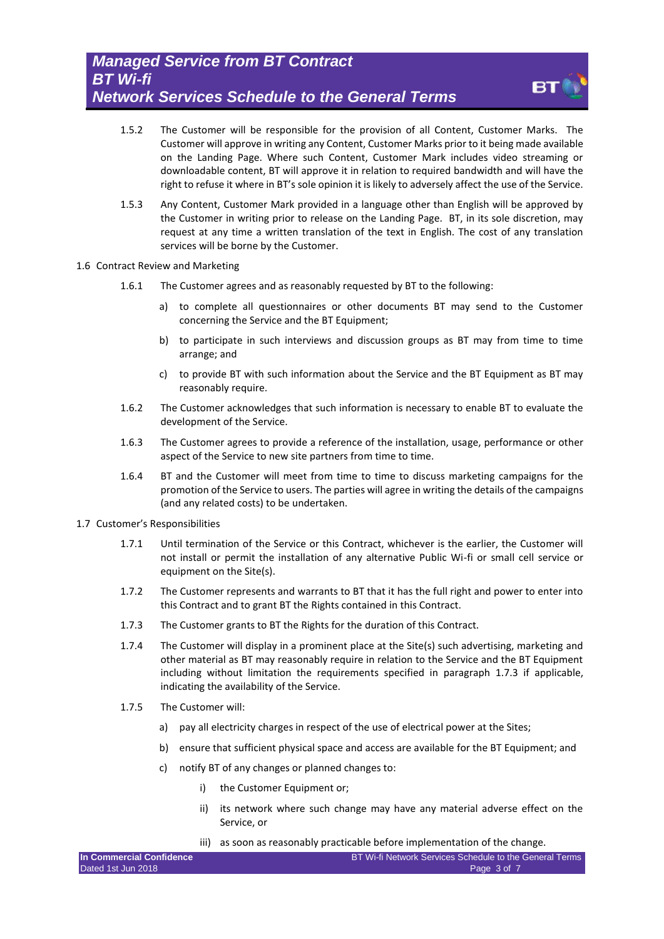- 1.5.2 The Customer will be responsible for the provision of all Content, Customer Marks. The Customer will approve in writing any Content, Customer Marks prior to it being made available on the Landing Page. Where such Content, Customer Mark includes video streaming or downloadable content, BT will approve it in relation to required bandwidth and will have the right to refuse it where in BT's sole opinion it is likely to adversely affect the use of the Service.
- 1.5.3 Any Content, Customer Mark provided in a language other than English will be approved by the Customer in writing prior to release on the Landing Page. BT, in its sole discretion, may request at any time a written translation of the text in English. The cost of any translation services will be borne by the Customer.
- 1.6 Contract Review and Marketing
	- 1.6.1 The Customer agrees and as reasonably requested by BT to the following:
		- a) to complete all questionnaires or other documents BT may send to the Customer concerning the Service and the BT Equipment;
		- b) to participate in such interviews and discussion groups as BT may from time to time arrange; and
		- c) to provide BT with such information about the Service and the BT Equipment as BT may reasonably require.
	- 1.6.2 The Customer acknowledges that such information is necessary to enable BT to evaluate the development of the Service.
	- 1.6.3 The Customer agrees to provide a reference of the installation, usage, performance or other aspect of the Service to new site partners from time to time.
	- 1.6.4 BT and the Customer will meet from time to time to discuss marketing campaigns for the promotion of the Service to users. The parties will agree in writing the details of the campaigns (and any related costs) to be undertaken.
- 1.7 Customer's Responsibilities
	- 1.7.1 Until termination of the Service or this Contract, whichever is the earlier, the Customer will not install or permit the installation of any alternative Public Wi-fi or small cell service or equipment on the Site(s).
	- 1.7.2 The Customer represents and warrants to BT that it has the full right and power to enter into this Contract and to grant BT the Rights contained in this Contract.
	- 1.7.3 The Customer grants to BT the Rights for the duration of this Contract.
	- 1.7.4 The Customer will display in a prominent place at the Site(s) such advertising, marketing and other material as BT may reasonably require in relation to the Service and the BT Equipment including without limitation the requirements specified in paragraph 1.7.3 if applicable, indicating the availability of the Service.
	- 1.7.5 The Customer will:
		- a) pay all electricity charges in respect of the use of electrical power at the Sites;
		- b) ensure that sufficient physical space and access are available for the BT Equipment; and
		- c) notify BT of any changes or planned changes to:
			- i) the Customer Equipment or;
			- ii) its network where such change may have any material adverse effect on the Service, or
			- iii) as soon as reasonably practicable before implementation of the change.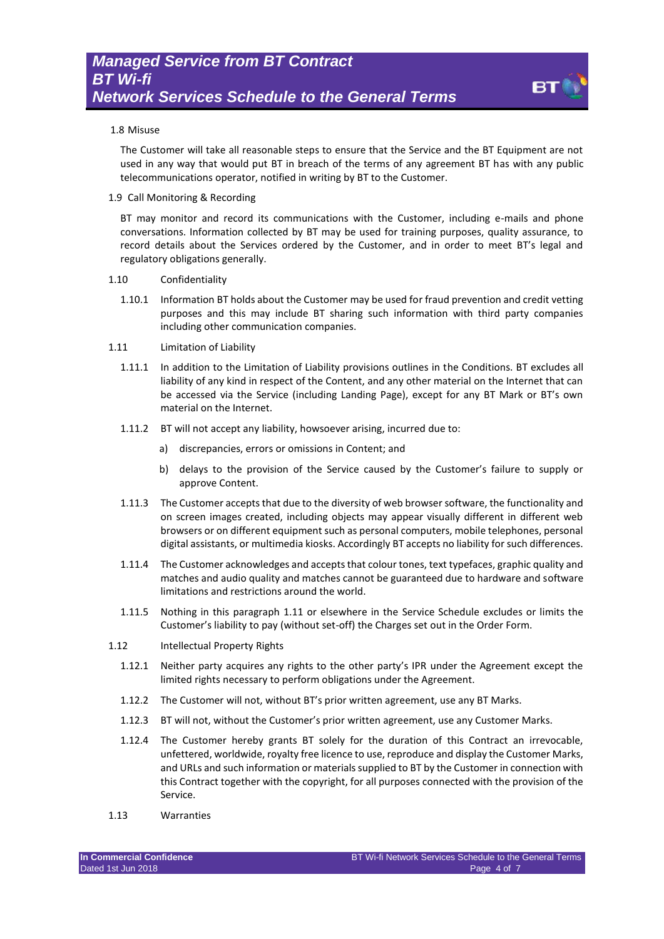

#### 1.8 Misuse

The Customer will take all reasonable steps to ensure that the Service and the BT Equipment are not used in any way that would put BT in breach of the terms of any agreement BT has with any public telecommunications operator, notified in writing by BT to the Customer.

#### 1.9 Call Monitoring & Recording

BT may monitor and record its communications with the Customer, including e-mails and phone conversations. Information collected by BT may be used for training purposes, quality assurance, to record details about the Services ordered by the Customer, and in order to meet BT's legal and regulatory obligations generally.

#### 1.10 Confidentiality

- 1.10.1 Information BT holds about the Customer may be used for fraud prevention and credit vetting purposes and this may include BT sharing such information with third party companies including other communication companies.
- 1.11 Limitation of Liability
	- 1.11.1 In addition to the Limitation of Liability provisions outlines in the Conditions. BT excludes all liability of any kind in respect of the Content, and any other material on the Internet that can be accessed via the Service (including Landing Page), except for any BT Mark or BT's own material on the Internet.
	- 1.11.2 BT will not accept any liability, howsoever arising, incurred due to:
		- a) discrepancies, errors or omissions in Content; and
		- b) delays to the provision of the Service caused by the Customer's failure to supply or approve Content.
	- 1.11.3 The Customer accepts that due to the diversity of web browser software, the functionality and on screen images created, including objects may appear visually different in different web browsers or on different equipment such as personal computers, mobile telephones, personal digital assistants, or multimedia kiosks. Accordingly BT accepts no liability for such differences.
	- 1.11.4 The Customer acknowledges and accepts that colour tones, text typefaces, graphic quality and matches and audio quality and matches cannot be guaranteed due to hardware and software limitations and restrictions around the world.
	- 1.11.5 Nothing in this paragraph 1.11 or elsewhere in the Service Schedule excludes or limits the Customer's liability to pay (without set-off) the Charges set out in the Order Form.
- 1.12 Intellectual Property Rights
	- 1.12.1 Neither party acquires any rights to the other party's IPR under the Agreement except the limited rights necessary to perform obligations under the Agreement.
	- 1.12.2 The Customer will not, without BT's prior written agreement, use any BT Marks.
	- 1.12.3 BT will not, without the Customer's prior written agreement, use any Customer Marks.
	- 1.12.4 The Customer hereby grants BT solely for the duration of this Contract an irrevocable, unfettered, worldwide, royalty free licence to use, reproduce and display the Customer Marks, and URLs and such information or materials supplied to BT by the Customer in connection with this Contract together with the copyright, for all purposes connected with the provision of the Service.
- 1.13 Warranties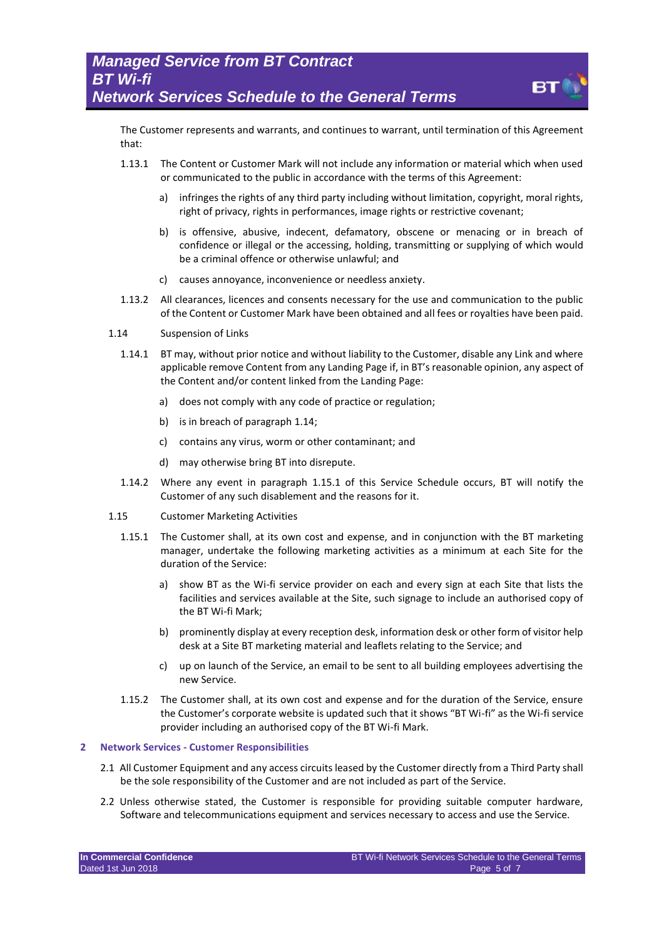

The Customer represents and warrants, and continues to warrant, until termination of this Agreement that:

- 1.13.1 The Content or Customer Mark will not include any information or material which when used or communicated to the public in accordance with the terms of this Agreement:
	- a) infringes the rights of any third party including without limitation, copyright, moral rights, right of privacy, rights in performances, image rights or restrictive covenant;
	- b) is offensive, abusive, indecent, defamatory, obscene or menacing or in breach of confidence or illegal or the accessing, holding, transmitting or supplying of which would be a criminal offence or otherwise unlawful; and
	- c) causes annoyance, inconvenience or needless anxiety.
- 1.13.2 All clearances, licences and consents necessary for the use and communication to the public of the Content or Customer Mark have been obtained and all fees or royalties have been paid.
- 1.14 Suspension of Links
	- 1.14.1 BT may, without prior notice and without liability to the Customer, disable any Link and where applicable remove Content from any Landing Page if, in BT's reasonable opinion, any aspect of the Content and/or content linked from the Landing Page:
		- a) does not comply with any code of practice or regulation;
		- b) is in breach of paragraph 1.14;
		- c) contains any virus, worm or other contaminant; and
		- d) may otherwise bring BT into disrepute.
	- 1.14.2 Where any event in paragraph 1.15.1 of this Service Schedule occurs, BT will notify the Customer of any such disablement and the reasons for it.
- 1.15 Customer Marketing Activities
	- 1.15.1 The Customer shall, at its own cost and expense, and in conjunction with the BT marketing manager, undertake the following marketing activities as a minimum at each Site for the duration of the Service:
		- a) show BT as the Wi-fi service provider on each and every sign at each Site that lists the facilities and services available at the Site, such signage to include an authorised copy of the BT Wi-fi Mark;
		- b) prominently display at every reception desk, information desk or other form of visitor help desk at a Site BT marketing material and leaflets relating to the Service; and
		- c) up on launch of the Service, an email to be sent to all building employees advertising the new Service.
	- 1.15.2 The Customer shall, at its own cost and expense and for the duration of the Service, ensure the Customer's corporate website is updated such that it shows "BT Wi-fi" as the Wi-fi service provider including an authorised copy of the BT Wi-fi Mark.

#### **2 Network Services - Customer Responsibilities**

- 2.1 All Customer Equipment and any access circuits leased by the Customer directly from a Third Party shall be the sole responsibility of the Customer and are not included as part of the Service.
- 2.2 Unless otherwise stated, the Customer is responsible for providing suitable computer hardware, Software and telecommunications equipment and services necessary to access and use the Service.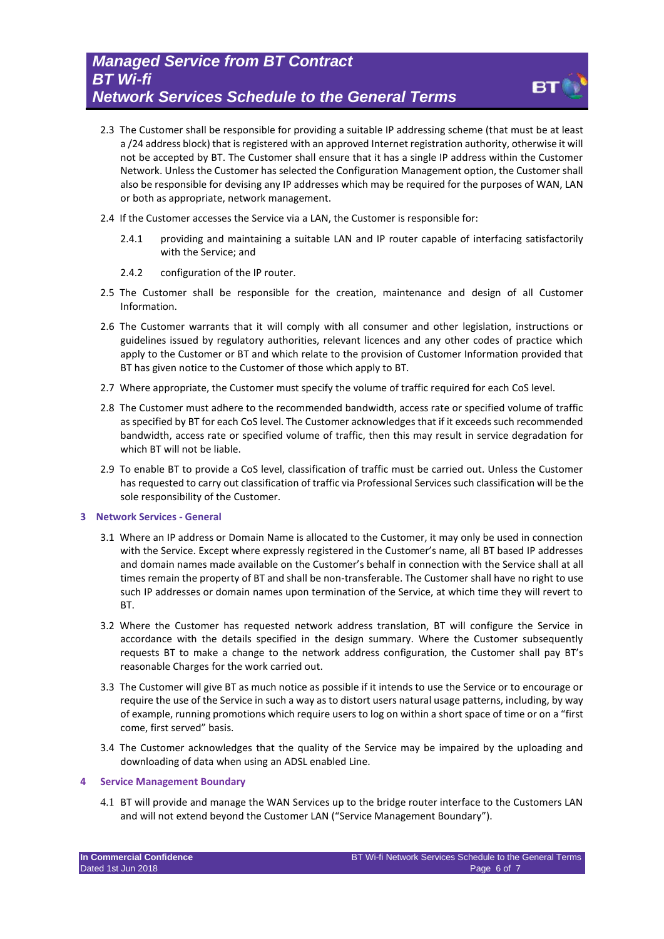

- 2.3 The Customer shall be responsible for providing a suitable IP addressing scheme (that must be at least a /24 address block) that is registered with an approved Internet registration authority, otherwise it will not be accepted by BT. The Customer shall ensure that it has a single IP address within the Customer Network. Unless the Customer has selected the Configuration Management option, the Customer shall also be responsible for devising any IP addresses which may be required for the purposes of WAN, LAN or both as appropriate, network management.
- 2.4 If the Customer accesses the Service via a LAN, the Customer is responsible for:
	- 2.4.1 providing and maintaining a suitable LAN and IP router capable of interfacing satisfactorily with the Service; and
	- 2.4.2 configuration of the IP router.
- 2.5 The Customer shall be responsible for the creation, maintenance and design of all Customer Information.
- 2.6 The Customer warrants that it will comply with all consumer and other legislation, instructions or guidelines issued by regulatory authorities, relevant licences and any other codes of practice which apply to the Customer or BT and which relate to the provision of Customer Information provided that BT has given notice to the Customer of those which apply to BT.
- 2.7 Where appropriate, the Customer must specify the volume of traffic required for each CoS level.
- 2.8 The Customer must adhere to the recommended bandwidth, access rate or specified volume of traffic as specified by BT for each CoS level. The Customer acknowledges that if it exceeds such recommended bandwidth, access rate or specified volume of traffic, then this may result in service degradation for which BT will not be liable.
- 2.9 To enable BT to provide a CoS level, classification of traffic must be carried out. Unless the Customer has requested to carry out classification of traffic via Professional Services such classification will be the sole responsibility of the Customer.

#### **3 Network Services - General**

- 3.1 Where an IP address or Domain Name is allocated to the Customer, it may only be used in connection with the Service. Except where expressly registered in the Customer's name, all BT based IP addresses and domain names made available on the Customer's behalf in connection with the Service shall at all times remain the property of BT and shall be non-transferable. The Customer shall have no right to use such IP addresses or domain names upon termination of the Service, at which time they will revert to BT.
- 3.2 Where the Customer has requested network address translation, BT will configure the Service in accordance with the details specified in the design summary. Where the Customer subsequently requests BT to make a change to the network address configuration, the Customer shall pay BT's reasonable Charges for the work carried out.
- 3.3 The Customer will give BT as much notice as possible if it intends to use the Service or to encourage or require the use of the Service in such a way as to distort users natural usage patterns, including, by way of example, running promotions which require users to log on within a short space of time or on a "first come, first served" basis.
- 3.4 The Customer acknowledges that the quality of the Service may be impaired by the uploading and downloading of data when using an ADSL enabled Line.

#### **4 Service Management Boundary**

4.1 BT will provide and manage the WAN Services up to the bridge router interface to the Customers LAN and will not extend beyond the Customer LAN ("Service Management Boundary").